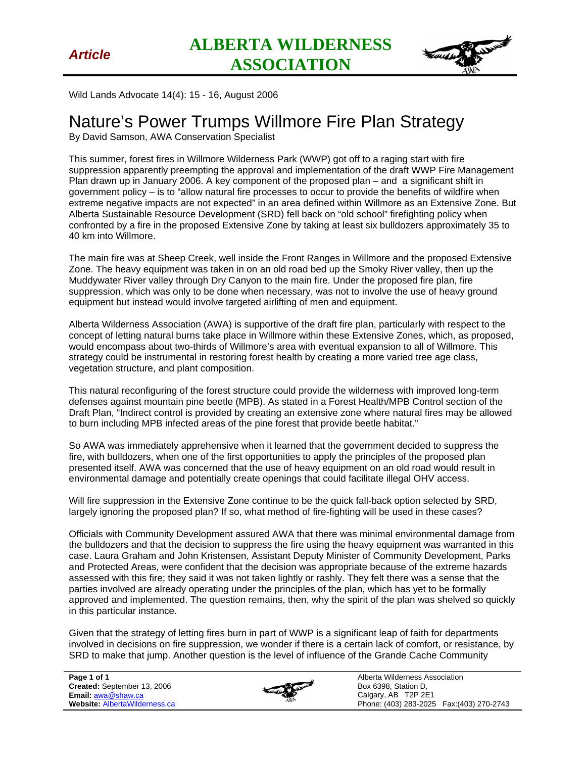

Wild Lands Advocate 14(4): 15 - 16, August 2006

## Nature's Power Trumps Willmore Fire Plan Strategy

By David Samson, AWA Conservation Specialist

This summer, forest fires in Willmore Wilderness Park (WWP) got off to a raging start with fire suppression apparently preempting the approval and implementation of the draft WWP Fire Management Plan drawn up in January 2006. A key component of the proposed plan – and a significant shift in government policy – is to "allow natural fire processes to occur to provide the benefits of wildfire when extreme negative impacts are not expected" in an area defined within Willmore as an Extensive Zone. But Alberta Sustainable Resource Development (SRD) fell back on "old school" firefighting policy when confronted by a fire in the proposed Extensive Zone by taking at least six bulldozers approximately 35 to 40 km into Willmore.

The main fire was at Sheep Creek, well inside the Front Ranges in Willmore and the proposed Extensive Zone. The heavy equipment was taken in on an old road bed up the Smoky River valley, then up the Muddywater River valley through Dry Canyon to the main fire. Under the proposed fire plan, fire suppression, which was only to be done when necessary, was not to involve the use of heavy ground equipment but instead would involve targeted airlifting of men and equipment.

Alberta Wilderness Association (AWA) is supportive of the draft fire plan, particularly with respect to the concept of letting natural burns take place in Willmore within these Extensive Zones, which, as proposed, would encompass about two-thirds of Willmore's area with eventual expansion to all of Willmore. This strategy could be instrumental in restoring forest health by creating a more varied tree age class, vegetation structure, and plant composition.

This natural reconfiguring of the forest structure could provide the wilderness with improved long-term defenses against mountain pine beetle (MPB). As stated in a Forest Health/MPB Control section of the Draft Plan, "Indirect control is provided by creating an extensive zone where natural fires may be allowed to burn including MPB infected areas of the pine forest that provide beetle habitat."

So AWA was immediately apprehensive when it learned that the government decided to suppress the fire, with bulldozers, when one of the first opportunities to apply the principles of the proposed plan presented itself. AWA was concerned that the use of heavy equipment on an old road would result in environmental damage and potentially create openings that could facilitate illegal OHV access.

Will fire suppression in the Extensive Zone continue to be the quick fall-back option selected by SRD, largely ignoring the proposed plan? If so, what method of fire-fighting will be used in these cases?

Officials with Community Development assured AWA that there was minimal environmental damage from the bulldozers and that the decision to suppress the fire using the heavy equipment was warranted in this case. Laura Graham and John Kristensen, Assistant Deputy Minister of Community Development, Parks and Protected Areas, were confident that the decision was appropriate because of the extreme hazards assessed with this fire; they said it was not taken lightly or rashly. They felt there was a sense that the parties involved are already operating under the principles of the plan, which has yet to be formally approved and implemented. The question remains, then, why the spirit of the plan was shelved so quickly in this particular instance.

Given that the strategy of letting fires burn in part of WWP is a significant leap of faith for departments involved in decisions on fire suppression, we wonder if there is a certain lack of comfort, or resistance, by SRD to make that jump. Another question is the level of influence of the Grande Cache Community



Alberta Wilderness Association Box 6398, Station D, Calgary, AB T2P 2E1 Phone: (403) 283-2025 Fax:(403) 270-2743